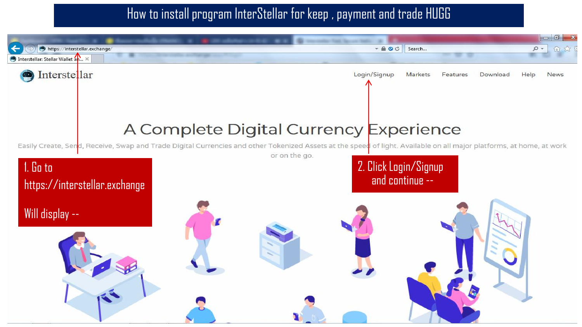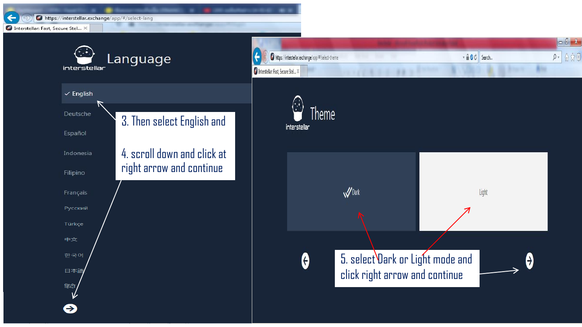https://interstellar.exchange/app/#/select-lang

<sup>2</sup> Interstellar: Fast, Secure Stel... ×

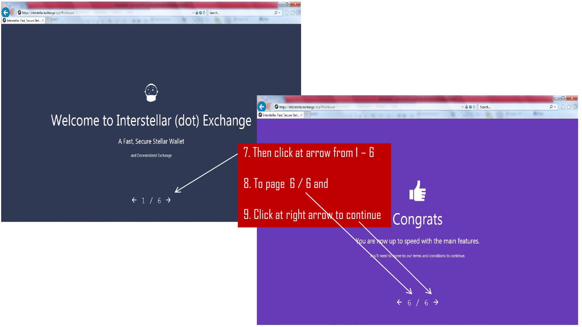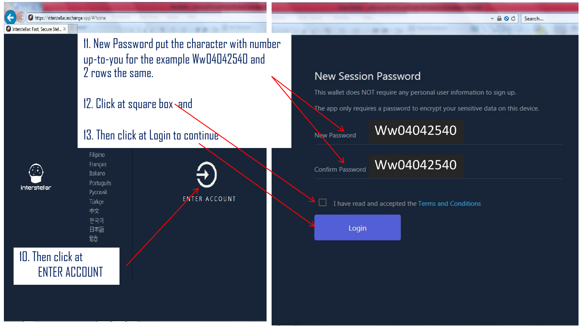$- A O C$ Search...

https://interstellar.exchange/app/#/home

#### 7 Interstellar: Fast, Secure Stel... >

11. New Password put the character with number up-to-you for the example Ww04042540 and 2 rows the same.

12. Click at square box  $\mathcal{A}$ nd

# 13. Then click at Login to continue



Français Italiano Português Русский Türkce 中文 한국어 日本語 हिंदी

Filipino

**EMTER ACCOUNT** 

## **New Session Password**

This wallet does NOT require any personal user information to sign up.

The app only requires a password to encrypt your sensitive data on this device.

Confirm Password



I have read and accepted the Terms and Conditions

Login

## 10. Then click at ENTER ACCOUNT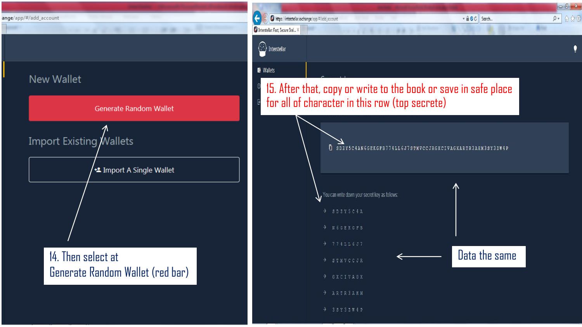#### ange/app/#/add\_account

### **New Wallet**



-

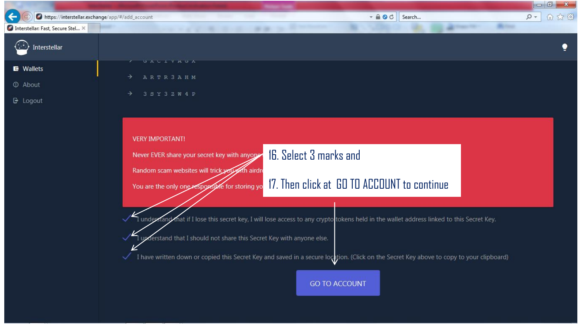| https://interstellar.exchange/app/#/add_account | $ \triangle$ $\circ$ $\circ$<br>价太德<br>$\sim$ Q<br>Search                                                                                 |
|-------------------------------------------------|-------------------------------------------------------------------------------------------------------------------------------------------|
| 2 Interstellar: Fast, Secure Stel X             |                                                                                                                                           |
| Interstellar                                    |                                                                                                                                           |
| <b>E</b> Wallets                                | UALIVHUA                                                                                                                                  |
| <b>1</b> About                                  | ARTR 3 AHM<br>$\rightarrow$                                                                                                               |
| $\mathbf{B}$ Logout                             | 3 S Y 3 Z W 4 P<br>→                                                                                                                      |
|                                                 |                                                                                                                                           |
|                                                 | <b>VERY IMPORTANT!</b>                                                                                                                    |
|                                                 | 16. Select 3 marks and<br>Never EVER share your secret key with anyone                                                                    |
|                                                 | Random scam websites will trick you with airdr                                                                                            |
|                                                 | 17. Then click at GO TO ACCOUNT to continue<br>You are the only one responsible for storing you                                           |
|                                                 |                                                                                                                                           |
|                                                 | I under rand mat if I lose this secret key, I will lose access to any crypto tokens held in the wallet address linked to this Secret Key. |
|                                                 | upderstand that I should not share this Secret Key with anyone else.                                                                      |
|                                                 |                                                                                                                                           |
|                                                 | I have written down or copied this Secret Key and saved in a secure location. (Click on the Secret Key above to copy to your clipboard)   |
|                                                 | <b>GO TO ACCOUNT</b>                                                                                                                      |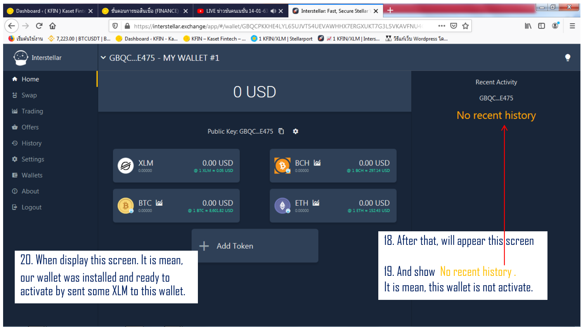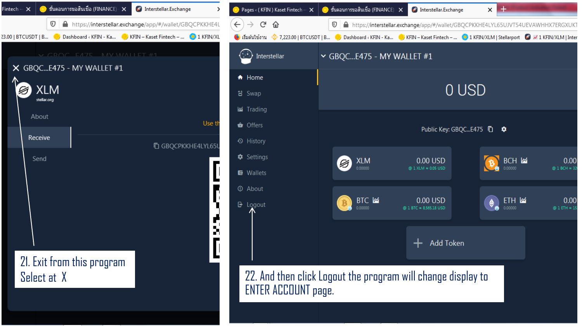